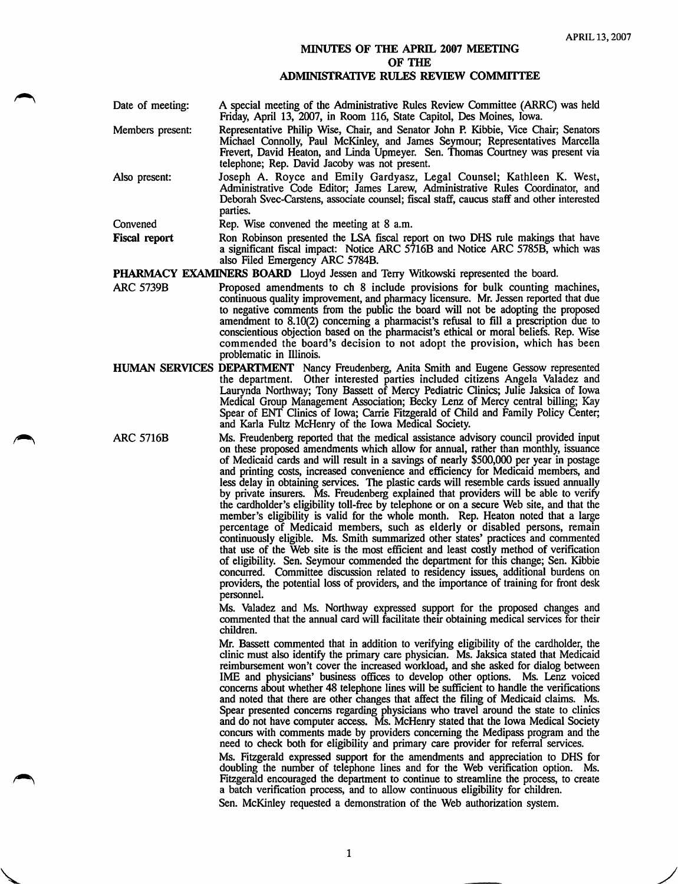## MINUTES OF THE APRIL 2007 MEETING OF THE ADMINISTRATIVE RULES REVIEW COMMITTEE

| Date of meeting:     | A special meeting of the Administrative Rules Review Committee (ARRC) was held<br>Friday, April 13, 2007, in Room 116, State Capitol, Des Moines, Iowa.                                                                                                                                                |
|----------------------|--------------------------------------------------------------------------------------------------------------------------------------------------------------------------------------------------------------------------------------------------------------------------------------------------------|
| Members present:     | Representative Philip Wise, Chair, and Senator John P. Kibbie, Vice Chair; Senators<br>Michael Connolly, Paul McKinley, and James Seymour; Representatives Marcella<br>Frevert, David Heaton, and Linda Upmeyer. Sen. Thomas Courtney was present via<br>telephone; Rep. David Jacoby was not present. |
| Also present:        | Joseph A. Royce and Emily Gardyasz, Legal Counsel; Kathleen K. West,<br>Administrative Code Editor; James Larew, Administrative Rules Coordinator, and<br>Deborah Svec-Carstens, associate counsel; fiscal staff, caucus staff and other interested<br>parties.                                        |
| Convened             | Rep. Wise convened the meeting at 8 a.m.                                                                                                                                                                                                                                                               |
| <b>Fiscal report</b> | Ron Robinson presented the LSA fiscal report on two DHS rule makings that have                                                                                                                                                                                                                         |

Fiscal report Ron Robinson presented the LSA fiscal report on two DHS rule makings that have a significant fiscal impact: Notice ARC 5716B and Notice ARC 5785B, which was also Filed Emergency ARC 5784B.

- **PHARMACY EXAMINERS BOARD** Lloyd Jessen and Terry Witkowski represented the board.<br>ARC 5739B Proposed amendments to ch 8 include provisions for bulk counting n Proposed amendments to ch 8 include provisions for bulk counting machines, continuous quality improvement, and pharmacy licensure. Mr. Jessen reported that due to negative comments from the public the board will not be adopting the proposed amendment to 8.10(2) concerning a pharmacist's refusal to fill a prescription due to conscientious objection based on the pharmacist's ethical or moral beliefs. Rep. Wise commended the board's decision to not adopt the provision, which has been problematic in Illinois.
- HUMAN SERVICES DEPARTMENT Nancy Freudenberg, Anita Smith and Eugene Gessow represented the department. Other interested parties included citizens Angela Valadez and Laurynda Northway; Tony Bassett of Mercy Pediatric Clinics; Julie Jaksica of Iowa Medical Group Management Association; Becky Lenz of Mercy central billing; Kay Spear of ENT Clinics of Iowa; Carrie Fitzgerald of Child and Family Policy Center; and Karla Fultz McHenry of the Iowa Medical Society.
- ARC 5716B Ms. Freudenberg reported that the medical assistance advisory council provided input on these proposed amendments which allow for annual, rather than monthly, issuance of Medicaid cards and will result in a savings of nearly \$500,000 per year in postage and printing costs, increased convenience and efficiency for Medicaid members, and less delay in obtaining services. The plastic cards will resemble cards issued annually by private insurers. Ms. Freudenberg explained that providers will be able to verify the cardholder's eligibility toll-free by telephone or on a secure Web site, and that the member's eligibility is valid for the whole month. Rep. Heaton noted that a large percentage of Medicaid members, such as elderly or disabled persons, remain continuously eligible. Ms. Smith summarized other states' practices and commented that use of the Web site is the most efficient and least costly method of verification of eligibility. Sen. Seymour commended the department for this change; Sen. Kibbie concurred. Committee discussion related to residency issues, additional burdens on providers, the potential loss of providers, and the importance of training for front desk personnel.

Ms. Valadez and Ms. Northway expressed support for the proposed changes and commented that the annual card will facilitate their obtaining medical services for their children.

Mr. Bassett commented that in addition to verifying eligibility of the cardholder, the clinic must also identify the primary care physician. Ms. Jaksica stated that Medicaid reimbursement won't cover the increased workload, and she asked for dialog between IME and physicians' business offices to develop other options. Ms. Lenz voiced concerns about whether 48 telephone lines will be sufficient to handle the verifications and noted that there are other changes that affect the filing of Medicaid claims. Ms. Spear presented concems regarding physicians who travel around the state to clinics and do not have computer access. Ms. McHenry stated that the Iowa Medical Society concurs with comments made by providers concerning the Medipass program and the need to check both for eligibility and primary care provider for referral services.

Ms. Fitzgerald expressed support for the amendments and appreciation to DHS for doubling the number of telephone lines and for the Web verification option. Ms. Fitzgerald encouraged the department to continue to streamline the process, to create a batch verification process, and to allow continuous eligibility for children.

Sen. McKinley requested a demonstration of the Web authorization system.

 $\mathbf{1}$ 

V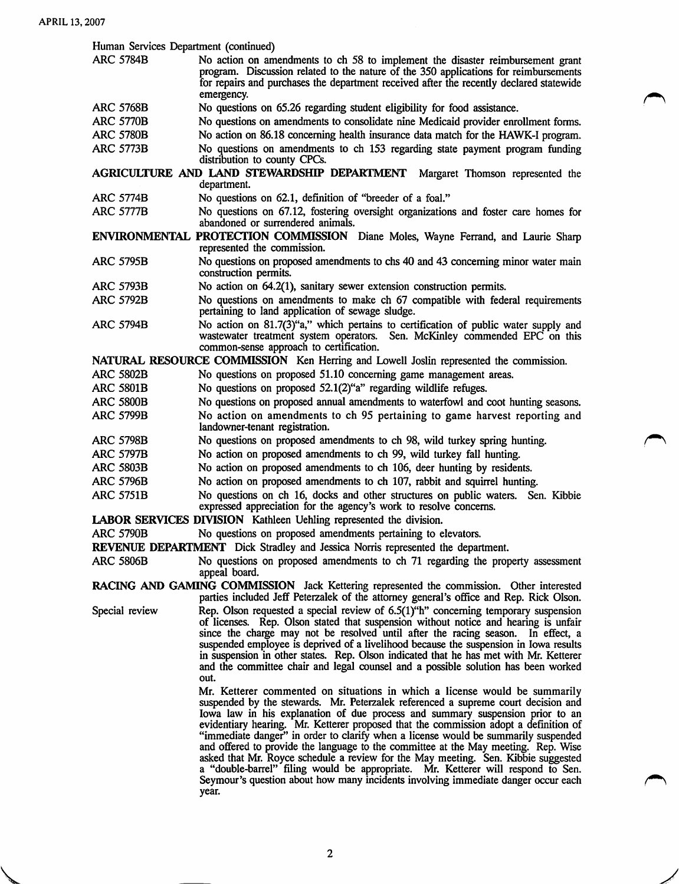Human Services Department (continued)

- ARC 5784B No action on amendments to ch 58 to implement the disaster reimbursement grant program. Discussion related to the nature of the 350 applications for reimbursements for repairs and purchases the department received after the recently declared statewide emergency.
- ARC 5768B No questions on 65.26 regarding student eligibility for food assistance.
- ARC 5770B No questions on amendments to consolidate nine Medicaid provider enrollment forms.<br>ARC 5780B No action on 86.18 concerning health insurance data match for the HAWK-I program.
- No action on 86.18 concerning health insurance data match for the HAWK-I program. ARC 5773B No questions on amendments to ch 153 regarding state payment program funding distribution to county CPCs.

AGRICULTURE AND LAND STEWARDSHIP DEPARTMENT Margaret Thomson represented the department.

- ARC 5774B No questions on 62.1, definition of "breeder of a foal."<br>ARC 5777B No questions on 67.12, fostering oversight organization
- No questions on 67.12, fostering oversight organizations and foster care homes for abandoned or surrendered animals.

ENVIRONMENTAL PROTECTION COMMISSION Diane Moles, Wayne Ferrand, and Laurie Sharp represented the commission.

- ARC 5795B No questions on proposed amendments to chs 40 and 43 concerning minor water main construction permits.
- ARC 5793B No action on 64.2(1), sanitary sewer extension construction permits.
- ARC 5792B No questions on amendments to make ch 67 compatible with federal requirements pertaining to land application of sewage sludge.
- ARC 5794B No action on 81.7(3)"a," which pertains to certification of public water supply and wastewater treatment system operators. Sen. McKinley commended EPC on this common-sense approach to certification.

NATURAL RESOURCE COMMISSION Ken Herring and Lowell Joslin represented the commission.

- No questions on proposed 51.10 concerning game management areas. ARC 5802B
- No questions on proposed 52.1(2)"a" regarding wildlife refuges. ARC 5801B
- No questions on proposed annual amendments to waterfowl and coot hunting seasons. No action on amendments to ch 95 pertaining to game harvest reporting and landowner-tenant registration. ARC 5800B ARC 5799B
- No questions on proposed amendments to ch 98, wild turkey spring hunting. ARC 5798B
- No action on proposed amendments to ch 99, wild turkey fall hunting. ARC 5797B
- No action on proposed amendments to ch 106, deer hunting by residents. ARC 5803B
- No action on proposed amendments to ch 107, rabbit and squirrel hunting. ARC 5796B
- No questions on ch 16, docks and other structures on public waters. Sen. Kibbie expressed appreciation for the agency's work to resolve concerns. ARC 5751B

LABOR SERVICES DIVISION Kathleen Uehling represented the division.

ARC 5790B No questions on proposed amendments pertaining to elevators.

REVENUE DEPARTMENT Dick Stradley and Jessica Norris represented the department.

ARC 5806B No questions on proposed amendments to ch 71 regarding the property assessment appeal board.

RACING AND GAMING COMMISSION Jack Kettering represented the commission. Other interested parties included Jeff Peterzalek of the attomey general's office and Rep. Rick Olson.

Special review Rep. Olson requested a special review of 6.5(1)"h" concerning temporary suspension of licenses. Rep. Olson stated that suspension without notice and hearing is unfair since the charge may not be resolved until after the racing season. In effect, a suspended employee is deprived of a livelihood because the suspension in Iowa results in suspension in other states. Rep. Olson indicated that he has met with Mr. Ketterer and the committee chair and legal counsel and a possible solution has been worked out.

> Mr. Ketterer commented on situations in which a license would be summarily suspended by the stewards. Mr. Peterzalek referenced a supreme court decision and Iowa law in his explanation of due process and summary suspension prior to an evidentiary hearing. Mr. Ketterer proposed that the commission adopt a definition of "immediate danger" in order to clarify when a license would be summarily suspended and offered to provide the language to the committee at the May meeting. Rep. Wise asked that Mr. Royce schedule a review for the May meeting. Sen. Kibbie suggested a "double-barrel" filing would be appropriate. Mr. Ketterer will respond to Sen. Seymour's question about how many incidents involving immediate danger occur each year.